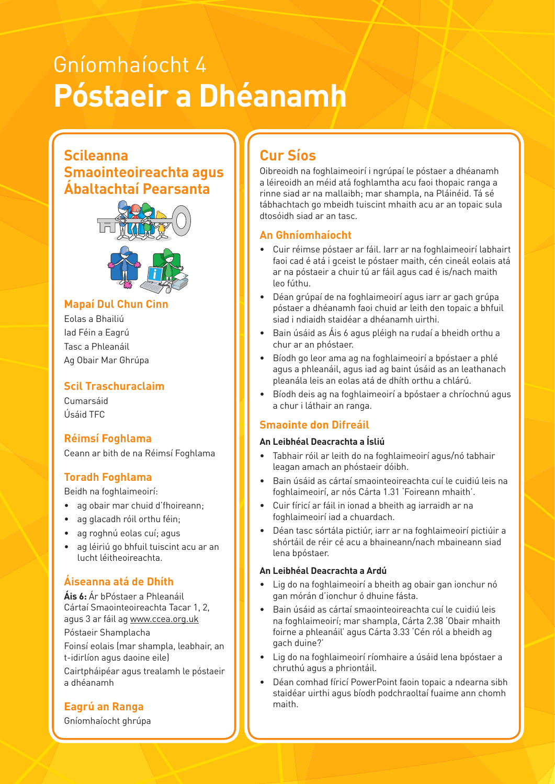# Gníomhaíocht 4 **Póstaeir a Dhéanamh**

### **Scileanna Smaointeoireachta agus Ábaltachtaí Pearsanta**



#### **Example 2018** Mapaí Dul Chun Cinn ann an 1918 an 1920

Eolas a Bhailiú Iad Féin a Eagrú Tasc a Phleanáil Ag Obair Mar Ghrúpa

#### **Scil Traschuraclaim**

Cumarsáid Úsáid TFC

#### **Réimsí Foghlama**

Ceann ar bith de na Réimsí Foghlama

#### **Toradh Foghlama**

Beidh na foghlaimeoirí:

- ag obair mar chuid d'fhoireann;
- ag glacadh róil orthu féin:
- ag roghnú eolas cuí; agus
- ag léiriú go bhfuil tuiscint acu ar an lucht léitheoireachta.

#### **Áiseanna atá de Dhíth**

**Áis 6:** Ár bPóstaer a Phleanáil Cártaí Smaointeoireachta Tacar 1, 2, agus 3 ar fáil ag www.ccea.org.uk Póstaeir Shamplacha

Foinsí eolais (mar shampla, leabhair, an t-idirlíon agus daoine eile)

Cairtpháipéar agus trealamh le póstaeir a dhéanamh

#### **Eagrú an Ranga**

Gníomhaíocht ghrúpa

## **Cur Síos**

Oibreoidh na foghlaimeoirí i ngrúpaí le póstaer a dhéanamh a léireoidh an méid atá foghlamtha acu faoi thopaic ranga a rinne siad ar na mallaibh; mar shampla, na Pláinéid. Tá sé tábhachtach go mbeidh tuiscint mhaith acu ar an topaic sula dtosóidh siad ar an tasc.

#### **An Ghníomhaíocht**

- **Osloving with Others Thinking with Others Thinking** of Cuir réimse póstaer ar fáil. Iarr ar na foghlaimeoirí labhairt faoi cad é atá i gceist le póstaer maith, cén cineál eolais atá ar na póstaeir a chuir tú ar fáil agus cad é is/nach maith leo fúthu.
	- Déan grúpaí de na foghlaimeoirí agus iarr ar gach grúpa póstaer a dhéanamh faoi chuid ar leith den topaic a bhfuil siad i ndiaidh staidéar a dhéanamh uirthi.
	- Bain úsáid as Áis 6 agus pléigh na rudaí a bheidh orthu a chur ar an phóstaer.
	- Bíodh go leor ama ag na foghlaimeoirí a bpóstaer a phlé agus a phleanáil, agus iad ag baint úsáid as an leathanach pleanála leis an eolas atá de dhíth orthu a chlárú.
	- Bíodh deis ag na foghlaimeoirí a bpóstaer a chríochnú agus a chur i láthair an ranga.

#### **Smaointe don Difreáil**

#### **An Leibhéal Deacrachta a Ísliú**

- Tabhair róil ar leith do na foghlaimeoirí agus/nó tabhair leagan amach an phóstaeir dóibh.
- Bain úsáid as cártaí smaointeoireachta cuí le cuidiú leis na foghlaimeoirí, ar nós Cárta 1.31 'Foireann mhaith'.
- Cuir fíricí ar fáil in ionad a bheith ag iarraidh ar na foghlaimeoirí iad a chuardach.
- Déan tasc sórtála pictiúr, iarr ar na foghlaimeoirí pictiúir a shórtáil de réir cé acu a bhaineann/nach mbaineann siad lena bpóstaer.

#### **An Leibhéal Deacrachta a Ardú**

- Lig do na foghlaimeoirí a bheith ag obair gan ionchur nó gan mórán d'ionchur ó dhuine fásta.
- Bain úsáid as cártaí smaointeoireachta cuí le cuidiú leis na foghlaimeoirí; mar shampla, Cárta 2.38 'Obair mhaith foirne a phleanáil' agus Cárta 3.33 'Cén ról a bheidh ag gach duine?'
- Lig do na foghlaimeoirí ríomhaire a úsáid lena bpóstaer a chruthú agus a phriontáil.
- Déan comhad fíricí PowerPoint faoin topaic a ndearna sibh staidéar uirthi agus bíodh podchraoltaí fuaime ann chomh maith.